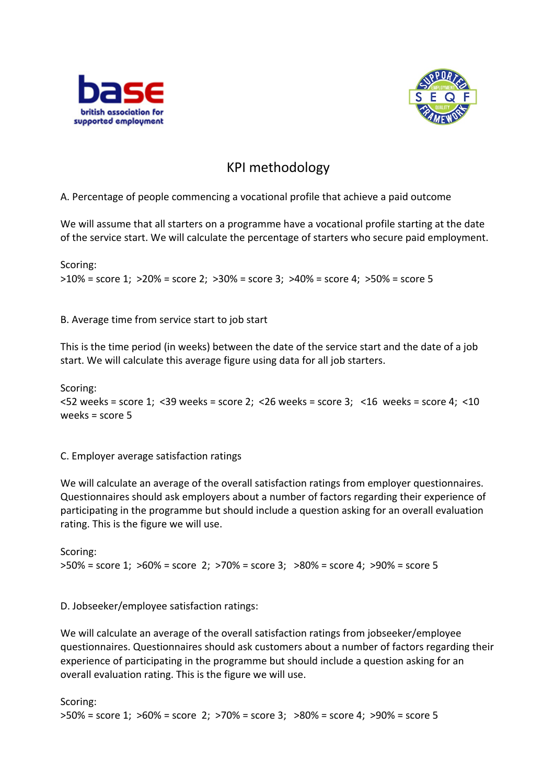



## KPI methodology

A. Percentage of people commencing a vocational profile that achieve a paid outcome

We will assume that all starters on a programme have a vocational profile starting at the date of the service start. We will calculate the percentage of starters who secure paid employment.

Scoring: >10% = score 1; >20% = score 2; >30% = score 3; >40% = score 4; >50% = score 5

B. Average time from service start to job start

This is the time period (in weeks) between the date of the service start and the date of a job start. We will calculate this average figure using data for all job starters.

```
Scoring:
<52 weeks = score 1; <39 weeks = score 2; <26 weeks = score 3; <16 weeks = score 4; <10 
weeks = score 5
```
C. Employer average satisfaction ratings

We will calculate an average of the overall satisfaction ratings from employer questionnaires. Questionnaires should ask employers about a number of factors regarding their experience of participating in the programme but should include a question asking for an overall evaluation rating. This is the figure we will use.

Scoring: >50% = score 1; >60% = score 2; >70% = score 3; >80% = score 4; >90% = score 5

D. Jobseeker/employee satisfaction ratings:

We will calculate an average of the overall satisfaction ratings from jobseeker/employee questionnaires. Questionnaires should ask customers about a number of factors regarding their experience of participating in the programme but should include a question asking for an overall evaluation rating. This is the figure we will use.

Scoring: >50% = score 1; >60% = score 2; >70% = score 3; >80% = score 4; >90% = score 5